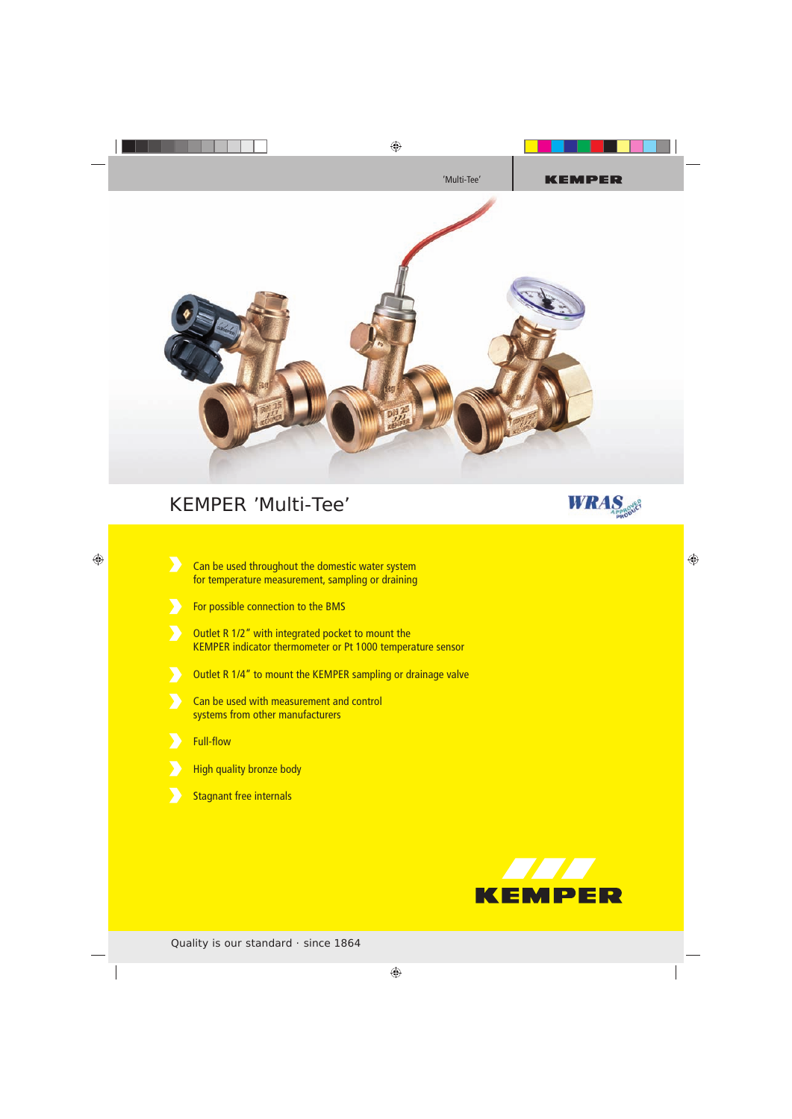

## KEMPER 'Multi-Tee'



- $\sum$ Can be used throughout the domestic water system for temperature measurement, sampling or draining
- For possible connection to the BMS
- Outlet R 1/2" with integrated pocket to mount the KEMPER indicator thermometer or Pt 1000 temperature sensor
- Outlet R 1/4" to mount the KEMPER sampling or drainage valve
- Can be used with measurement and control systems from other manufacturers
- **Full-flow**
- **High quality bronze body**
- Stagnant free internals